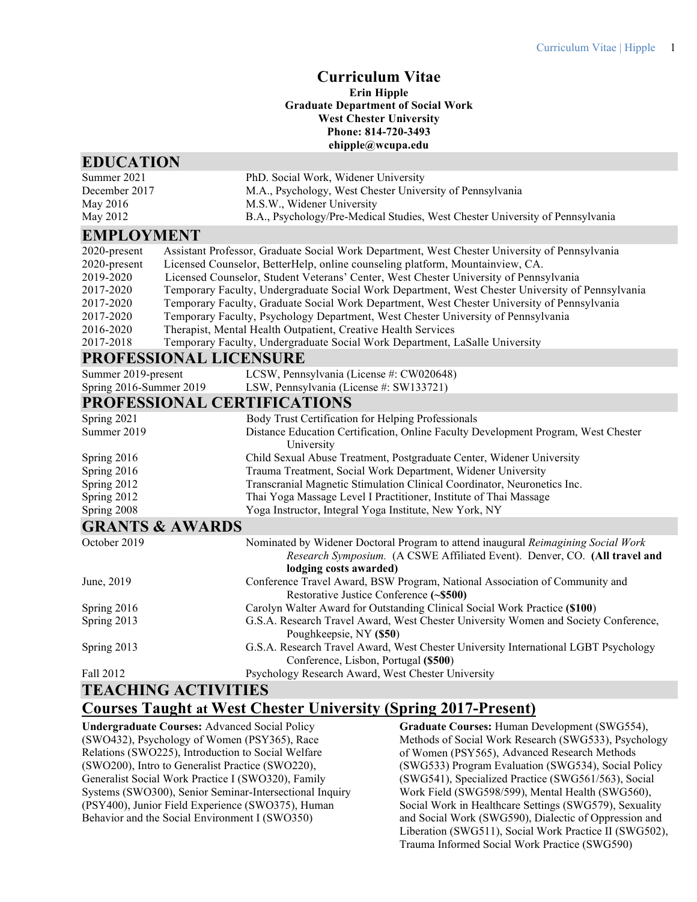# **Curriculum Vitae**

#### **Erin Hipple Graduate Department of Social Work West Chester University Phone: 814-720-3493 ehipple@wcupa.edu**

#### **EDUCATION**

| Summer 2021                                                                                          | PhD. Social Work, Widener University                                                             |
|------------------------------------------------------------------------------------------------------|--------------------------------------------------------------------------------------------------|
| December 2017                                                                                        | M.A., Psychology, West Chester University of Pennsylvania                                        |
| May 2016                                                                                             | M.S.W., Widener University                                                                       |
| May 2012                                                                                             | B.A., Psychology/Pre-Medical Studies, West Chester University of Pennsylvania                    |
| <b>EMPLOYMENT</b>                                                                                    |                                                                                                  |
| $2020$ -present                                                                                      | Assistant Professor, Graduate Social Work Department, West Chester University of Pennsylvania    |
| $2020$ -present                                                                                      | Licensed Counselor, BetterHelp, online counseling platform, Mountainview, CA.                    |
| 2019-2020                                                                                            | Licensed Counselor, Student Veterans' Center, West Chester University of Pennsylvania            |
| 2017-2020                                                                                            | Temporary Faculty, Undergraduate Social Work Department, West Chester University of Pennsylvania |
| 2017-2020                                                                                            | Temporary Faculty, Graduate Social Work Department, West Chester University of Pennsylvania      |
| $\begin{array}{c} \bullet \circ \bullet \bullet \bullet \bullet \bullet \bullet \bullet \end{array}$ |                                                                                                  |

2017-2020 Temporary Faculty, Psychology Department, West Chester University of Pennsylvania

- 2016-2020 Therapist, Mental Health Outpatient, Creative Health Services<br>2017-2018 Temporary Faculty, Undergraduate Social Work Department, I
- Temporary Faculty, Undergraduate Social Work Department, LaSalle University

| PROFESSIONAL LICENSURE     |                                                                                                                                                                                           |
|----------------------------|-------------------------------------------------------------------------------------------------------------------------------------------------------------------------------------------|
| Summer 2019-present        | LCSW, Pennsylvania (License #: CW020648)                                                                                                                                                  |
| Spring 2016-Summer 2019    | LSW, Pennsylvania (License #: SW133721)                                                                                                                                                   |
|                            | PROFESSIONAL CERTIFICATIONS                                                                                                                                                               |
| Spring 2021                | Body Trust Certification for Helping Professionals                                                                                                                                        |
| Summer 2019                | Distance Education Certification, Online Faculty Development Program, West Chester<br>University                                                                                          |
| Spring 2016                | Child Sexual Abuse Treatment, Postgraduate Center, Widener University                                                                                                                     |
| Spring 2016                | Trauma Treatment, Social Work Department, Widener University                                                                                                                              |
| Spring 2012                | Transcranial Magnetic Stimulation Clinical Coordinator, Neuronetics Inc.                                                                                                                  |
| Spring 2012                | Thai Yoga Massage Level I Practitioner, Institute of Thai Massage                                                                                                                         |
| Spring 2008                | Yoga Instructor, Integral Yoga Institute, New York, NY                                                                                                                                    |
| <b>GRANTS &amp; AWARDS</b> |                                                                                                                                                                                           |
| October 2019               | Nominated by Widener Doctoral Program to attend inaugural Reimagining Social Work<br>Research Symposium. (A CSWE Affiliated Event). Denver, CO. (All travel and<br>lodging costs awarded) |
| June, 2019                 | Conference Travel Award, BSW Program, National Association of Community and<br>Restorative Justice Conference (~\$500)                                                                    |
| Spring 2016                | Carolyn Walter Award for Outstanding Clinical Social Work Practice (\$100)                                                                                                                |
| Spring 2013                | G.S.A. Research Travel Award, West Chester University Women and Society Conference,<br>Poughkeepsie, NY (\$50)                                                                            |
| Spring 2013                | G.S.A. Research Travel Award, West Chester University International LGBT Psychology                                                                                                       |

Conference, Lisbon, Portugal **(\$500**) Fall 2012 Psychology Research Award, West Chester University

# **TEACHING ACTIVITIES**

# **Courses Taught at West Chester University (Spring 2017-Present)**

**Undergraduate Courses:** Advanced Social Policy (SWO432), Psychology of Women (PSY365), Race Relations (SWO225), Introduction to Social Welfare (SWO200), Intro to Generalist Practice (SWO220), Generalist Social Work Practice I (SWO320), Family Systems (SWO300), Senior Seminar-Intersectional Inquiry (PSY400), Junior Field Experience (SWO375), Human Behavior and the Social Environment I (SWO350)

**Graduate Courses:** Human Development (SWG554), Methods of Social Work Research (SWG533), Psychology of Women (PSY565), Advanced Research Methods (SWG533) Program Evaluation (SWG534), Social Policy (SWG541), Specialized Practice (SWG561/563), Social Work Field (SWG598/599), Mental Health (SWG560), Social Work in Healthcare Settings (SWG579), Sexuality and Social Work (SWG590), Dialectic of Oppression and Liberation (SWG511), Social Work Practice II (SWG502), Trauma Informed Social Work Practice (SWG590)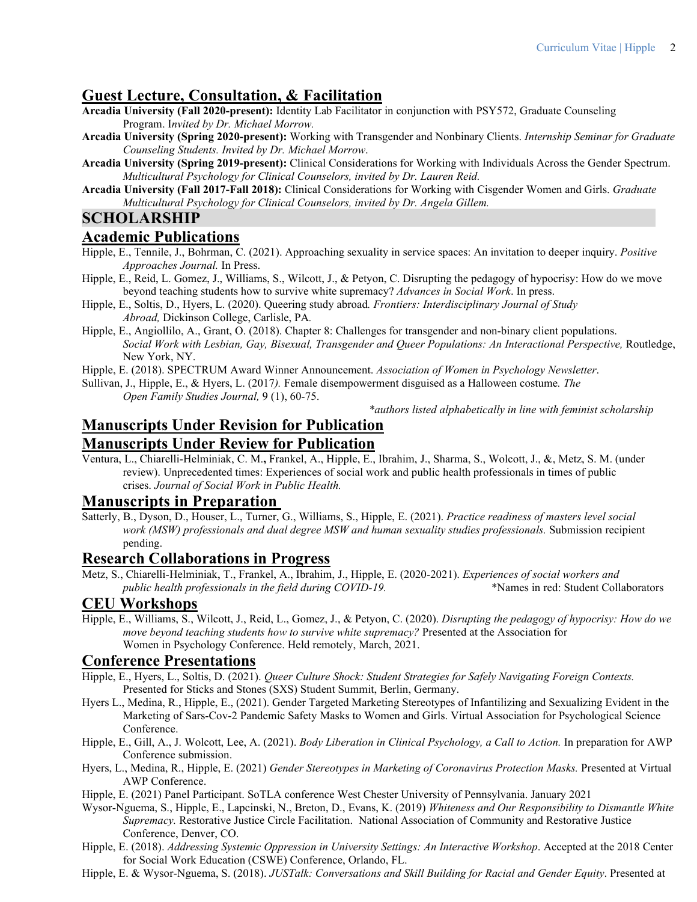# **Guest Lecture, Consultation, & Facilitation**

- **Arcadia University (Fall 2020-present):** Identity Lab Facilitator in conjunction with PSY572, Graduate Counseling Program. I*nvited by Dr. Michael Morrow.*
- **Arcadia University (Spring 2020-present):** Working with Transgender and Nonbinary Clients. *Internship Seminar for Graduate Counseling Students. Invited by Dr. Michael Morrow*.
- **Arcadia University (Spring 2019-present):** Clinical Considerations for Working with Individuals Across the Gender Spectrum. *Multicultural Psychology for Clinical Counselors, invited by Dr. Lauren Reid.*
- **Arcadia University (Fall 2017-Fall 2018):** Clinical Considerations for Working with Cisgender Women and Girls. *Graduate Multicultural Psychology for Clinical Counselors, invited by Dr. Angela Gillem.*

# **SCHOLARSHIP**

#### **Academic Publications**

- Hipple, E., Tennile, J., Bohrman, C. (2021). Approaching sexuality in service spaces: An invitation to deeper inquiry. *Positive Approaches Journal.* In Press.
- Hipple, E., Reid, L. Gomez, J., Williams, S., Wilcott, J., & Petyon, C. Disrupting the pedagogy of hypocrisy: How do we move beyond teaching students how to survive white supremacy? *Advances in Social Work*. In press.
- Hipple, E., Soltis, D., Hyers, L. (2020). Queering study abroad*. Frontiers: Interdisciplinary Journal of Study Abroad,* Dickinson College, Carlisle, PA*.*
- Hipple, E., Angiollilo, A., Grant, O. (2018). Chapter 8: Challenges for transgender and non-binary client populations. *Social Work with Lesbian, Gay, Bisexual, Transgender and Queer Populations: An Interactional Perspective,* Routledge, New York, NY.

Hipple, E. (2018). SPECTRUM Award Winner Announcement. *Association of Women in Psychology Newsletter*.

Sullivan, J., Hipple, E., & Hyers, L. (2017*).* Female disempowerment disguised as a Halloween costume*. The Open Family Studies Journal,* 9 (1), 60-75.

*\*authors listed alphabetically in line with feminist scholarship*

# **Manuscripts Under Revision for Publication Manuscripts Under Review for Publication**

Ventura, L., Chiarelli-Helminiak, C. M.**,** Frankel, A., Hipple, E., Ibrahim, J., Sharma, S., Wolcott, J., &, Metz, S. M. (under review). Unprecedented times: Experiences of social work and public health professionals in times of public crises. *Journal of Social Work in Public Health.*

#### **Manuscripts in Preparation**

Satterly, B., Dyson, D., Houser, L., Turner, G., Williams, S., Hipple, E. (2021). *Practice readiness of masters level social work (MSW) professionals and dual degree MSW and human sexuality studies professionals.* Submission recipient pending.

### **Research Collaborations in Progress**

Metz, S., Chiarelli-Helminiak, T., Frankel, A., Ibrahim, J., Hipple, E. (2020-2021). *Experiences of social workers and public health professionals in the field during COVID-19.* \*Names in red: Student Collaborators

### **CEU Workshops**

Hipple, E., Williams, S., Wilcott, J., Reid, L., Gomez, J., & Petyon, C. (2020). *Disrupting the pedagogy of hypocrisy: How do we move beyond teaching students how to survive white supremacy?* Presented at the Association for Women in Psychology Conference. Held remotely, March, 2021.

# **Conference Presentations**

- Hipple, E., Hyers, L., Soltis, D. (2021). *Queer Culture Shock: Student Strategies for Safely Navigating Foreign Contexts.* Presented for Sticks and Stones (SXS) Student Summit, Berlin, Germany.
- Hyers L., Medina, R., Hipple, E., (2021). Gender Targeted Marketing Stereotypes of Infantilizing and Sexualizing Evident in the Marketing of Sars-Cov-2 Pandemic Safety Masks to Women and Girls. Virtual Association for Psychological Science Conference.
- Hipple, E., Gill, A., J. Wolcott, Lee, A. (2021). *Body Liberation in Clinical Psychology, a Call to Action.* In preparation for AWP Conference submission.
- Hyers, L., Medina, R., Hipple, E. (2021) *Gender Stereotypes in Marketing of Coronavirus Protection Masks.* Presented at Virtual AWP Conference.
- Hipple, E. (2021) Panel Participant. SoTLA conference West Chester University of Pennsylvania. January 2021
- Wysor-Nguema, S., Hipple, E., Lapcinski, N., Breton, D., Evans, K. (2019) *Whiteness and Our Responsibility to Dismantle White Supremacy.* Restorative Justice Circle Facilitation. National Association of Community and Restorative Justice Conference, Denver, CO.
- Hipple, E. (2018). *Addressing Systemic Oppression in University Settings: An Interactive Workshop*. Accepted at the 2018 Center for Social Work Education (CSWE) Conference, Orlando, FL.
- Hipple, E. & Wysor-Nguema, S. (2018). *JUSTalk: Conversations and Skill Building for Racial and Gender Equity*. Presented at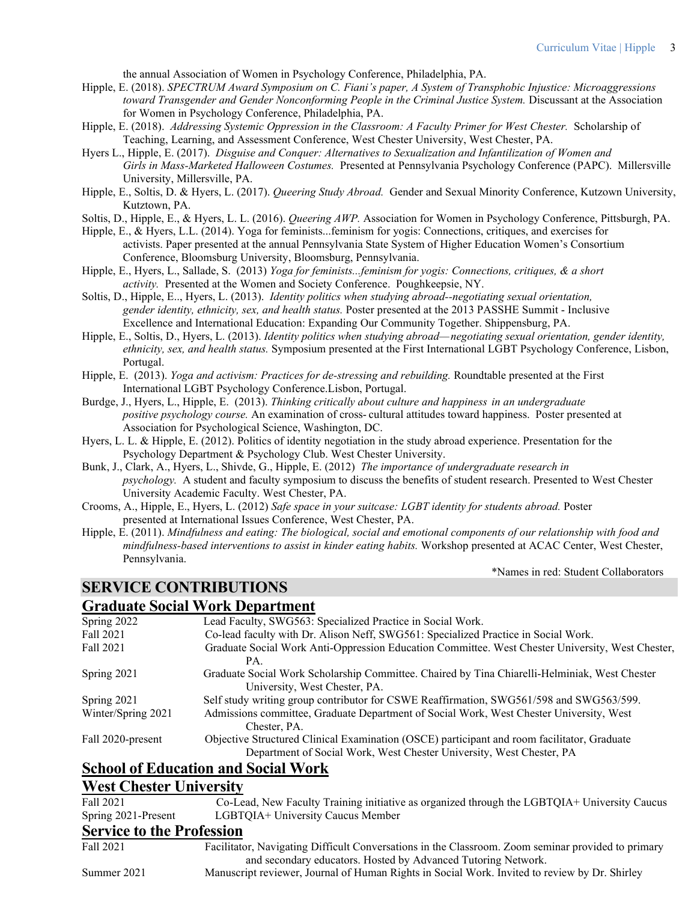the annual Association of Women in Psychology Conference, Philadelphia, PA.

- Hipple, E. (2018). *SPECTRUM Award Symposium on C. Fiani's paper, A System of Transphobic Injustice: Microaggressions toward Transgender and Gender Nonconforming People in the Criminal Justice System.* Discussant at the Association for Women in Psychology Conference, Philadelphia, PA.
- Hipple, E. (2018). *Addressing Systemic Oppression in the Classroom: A Faculty Primer for West Chester.* Scholarship of Teaching, Learning, and Assessment Conference, West Chester University, West Chester, PA.
- Hyers L., Hipple, E. (2017). *Disguise and Conquer: Alternatives to Sexualization and Infantilization of Women and Girls in Mass-Marketed Halloween Costumes.* Presented at Pennsylvania Psychology Conference (PAPC). Millersville University, Millersville, PA.
- Hipple, E., Soltis, D. & Hyers, L. (2017). *Queering Study Abroad.* Gender and Sexual Minority Conference, Kutzown University, Kutztown, PA.
- Soltis, D., Hipple, E., & Hyers, L. L. (2016). *Queering AWP.* Association for Women in Psychology Conference, Pittsburgh, PA.
- Hipple, E., & Hyers, L.L. (2014). Yoga for feminists...feminism for yogis: Connections, critiques, and exercises for activists. Paper presented at the annual Pennsylvania State System of Higher Education Women's Consortium Conference, Bloomsburg University, Bloomsburg, Pennsylvania.
- Hipple, E., Hyers, L., Sallade, S. (2013) *Yoga for feminists...feminism for yogis: Connections, critiques, & a short activity.* Presented at the Women and Society Conference. Poughkeepsie, NY.
- Soltis, D., Hipple, E.., Hyers, L. (2013). *Identity politics when studying abroad--negotiating sexual orientation, gender identity, ethnicity, sex, and health status.* Poster presented at the 2013 PASSHE Summit - Inclusive Excellence and International Education: Expanding Our Community Together. Shippensburg, PA.
- Hipple, E., Soltis, D., Hyers, L. (2013). *Identity politics when studying abroad—negotiating sexual orientation, gender identity, ethnicity, sex, and health status.* Symposium presented at the First International LGBT Psychology Conference, Lisbon, Portugal.
- Hipple, E. (2013). *Yoga and activism: Practices for de-stressing and rebuilding.* Roundtable presented at the First International LGBT Psychology Conference.Lisbon, Portugal.
- Burdge, J., Hyers, L., Hipple, E. (2013). *Thinking critically about culture and happiness in an undergraduate positive psychology course.* An examination of cross- cultural attitudes toward happiness. Poster presented at Association for Psychological Science, Washington, DC.
- Hyers, L. L. & Hipple, E. (2012). Politics of identity negotiation in the study abroad experience. Presentation for the Psychology Department & Psychology Club. West Chester University.
- Bunk, J., Clark, A., Hyers, L., Shivde, G., Hipple, E. (2012) *The importance of undergraduate research in psychology.* A student and faculty symposium to discuss the benefits of student research. Presented to West Chester University Academic Faculty. West Chester, PA.
- Crooms, A., Hipple, E., Hyers, L. (2012) *Safe space in your suitcase: LGBT identity for students abroad.* Poster presented at International Issues Conference, West Chester, PA.
- Hipple, E. (2011). *Mindfulness and eating: The biological, social and emotional components of our relationship with food and mindfulness-based interventions to assist in kinder eating habits.* Workshop presented at ACAC Center, West Chester, Pennsylvania.

\*Names in red: Student Collaborators

# **SERVICE CONTRIBUTIONS**

#### **Graduate Social Work Department**

| Spring 2022        | Lead Faculty, SWG563: Specialized Practice in Social Work.                                                                                                          |
|--------------------|---------------------------------------------------------------------------------------------------------------------------------------------------------------------|
| Fall 2021          | Co-lead faculty with Dr. Alison Neff, SWG561: Specialized Practice in Social Work.                                                                                  |
| Fall 2021          | Graduate Social Work Anti-Oppression Education Committee. West Chester University, West Chester,                                                                    |
|                    | PA.                                                                                                                                                                 |
| Spring 2021        | Graduate Social Work Scholarship Committee. Chaired by Tina Chiarelli-Helminiak, West Chester<br>University, West Chester, PA.                                      |
| Spring $2021$      | Self study writing group contributor for CSWE Reaffirmation, SWG561/598 and SWG563/599.                                                                             |
| Winter/Spring 2021 | Admissions committee, Graduate Department of Social Work, West Chester University, West<br>Chester, PA.                                                             |
| Fall 2020-present  | Objective Structured Clinical Examination (OSCE) participant and room facilitator, Graduate<br>Department of Social Work, West Chester University, West Chester, PA |
|                    |                                                                                                                                                                     |

# **School of Education and Social Work**

#### **West Chester University**

| $\mathbf{C}$ ourige to the Ducfassion |                                                                                              |
|---------------------------------------|----------------------------------------------------------------------------------------------|
| Spring 2021-Present                   | LGBTQIA+ University Caucus Member                                                            |
| Fall 2021                             | Co-Lead, New Faculty Training initiative as organized through the LGBTQIA+ University Caucus |

#### **Service to the Profession**

Fall 2021 Facilitator, Navigating Difficult Conversations in the Classroom. Zoom seminar provided to primary and secondary educators. Hosted by Advanced Tutoring Network.

Summer 2021 Manuscript reviewer, Journal of Human Rights in Social Work. Invited to review by Dr. Shirley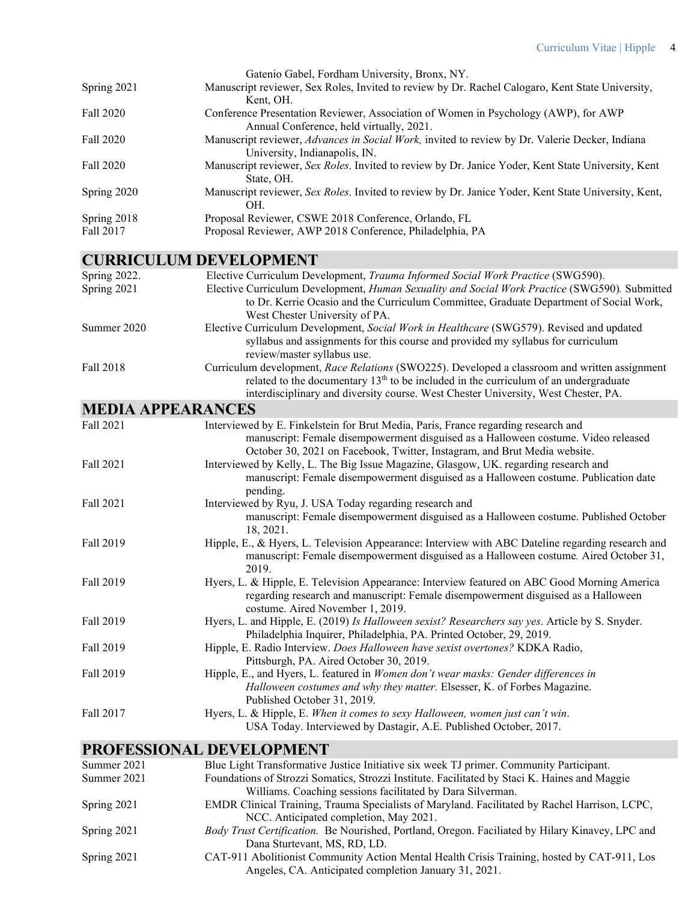|             | Gatenio Gabel, Fordham University, Bronx, NY.                                                          |
|-------------|--------------------------------------------------------------------------------------------------------|
| Spring 2021 | Manuscript reviewer, Sex Roles, Invited to review by Dr. Rachel Calogaro, Kent State University,       |
|             | Kent. OH.                                                                                              |
| Fall 2020   | Conference Presentation Reviewer, Association of Women in Psychology (AWP), for AWP                    |
|             | Annual Conference, held virtually, 2021.                                                               |
| Fall 2020   | Manuscript reviewer, <i>Advances in Social Work</i> , invited to review by Dr. Valerie Decker, Indiana |
|             | University, Indianapolis, IN.                                                                          |
| Fall 2020   | Manuscript reviewer, Sex Roles. Invited to review by Dr. Janice Yoder, Kent State University, Kent     |
|             | State, OH.                                                                                             |
| Spring 2020 | Manuscript reviewer, Sex Roles. Invited to review by Dr. Janice Yoder, Kent State University, Kent,    |
|             | OH.                                                                                                    |
| Spring 2018 | Proposal Reviewer, CSWE 2018 Conference, Orlando, FL                                                   |
| Fall 2017   | Proposal Reviewer, AWP 2018 Conference, Philadelphia, PA                                               |
|             |                                                                                                        |

# **CURRICULUM DEVELOPMENT**

| Spring 2022.             | Elective Curriculum Development, Trauma Informed Social Work Practice (SWG590).                                                                                              |
|--------------------------|------------------------------------------------------------------------------------------------------------------------------------------------------------------------------|
| Spring 2021              | Elective Curriculum Development, Human Sexuality and Social Work Practice (SWG590). Submitted                                                                                |
|                          | to Dr. Kerrie Ocasio and the Curriculum Committee, Graduate Department of Social Work,<br>West Chester University of PA.                                                     |
| Summer 2020              | Elective Curriculum Development, Social Work in Healthcare (SWG579). Revised and updated                                                                                     |
|                          | syllabus and assignments for this course and provided my syllabus for curriculum<br>review/master syllabus use.                                                              |
| <b>Fall 2018</b>         | Curriculum development, Race Relations (SWO225). Developed a classroom and written assignment                                                                                |
|                          | related to the documentary $13th$ to be included in the curriculum of an undergraduate<br>interdisciplinary and diversity course. West Chester University, West Chester, PA. |
| <b>MEDIA APPEARANCES</b> |                                                                                                                                                                              |
| Fall 2021                | Interviewed by E. Finkelstein for Brut Media, Paris, France regarding research and                                                                                           |
|                          | manuscript: Female disempowerment disguised as a Halloween costume. Video released                                                                                           |
|                          | October 30, 2021 on Facebook, Twitter, Instagram, and Brut Media website.                                                                                                    |
| Fall 2021                | Interviewed by Kelly, L. The Big Issue Magazine, Glasgow, UK. regarding research and                                                                                         |
|                          | manuscript: Female disempowerment disguised as a Halloween costume. Publication date<br>pending.                                                                             |
| Fall 2021                | Interviewed by Ryu, J. USA Today regarding research and                                                                                                                      |
|                          | manuscript: Female disempowerment disguised as a Halloween costume. Published October<br>18, 2021.                                                                           |
| <b>Fall 2019</b>         | Hipple, E., & Hyers, L. Television Appearance: Interview with ABC Dateline regarding research and                                                                            |
|                          | manuscript: Female disempowerment disguised as a Halloween costume. Aired October 31,<br>2019.                                                                               |
| Fall 2019                | Hyers, L. & Hipple, E. Television Appearance: Interview featured on ABC Good Morning America                                                                                 |
|                          | regarding research and manuscript: Female disempowerment disguised as a Halloween<br>costume. Aired November 1, 2019.                                                        |
| Fall 2019                | Hyers, L. and Hipple, E. (2019) Is Halloween sexist? Researchers say yes. Article by S. Snyder.<br>Philadelphia Inquirer, Philadelphia, PA. Printed October, 29, 2019.       |
| Fall 2019                | Hipple, E. Radio Interview. Does Halloween have sexist overtones? KDKA Radio,                                                                                                |
| Fall 2019                | Pittsburgh, PA. Aired October 30, 2019.<br>Hipple, E., and Hyers, L. featured in Women don't wear masks: Gender differences in                                               |
|                          | Halloween costumes and why they matter. Elsesser, K. of Forbes Magazine.<br>Published October 31, 2019.                                                                      |
| Fall 2017                | Hyers, L. & Hipple, E. When it comes to sexy Halloween, women just can't win.                                                                                                |
|                          | USA Today. Interviewed by Dastagir, A.E. Published October, 2017.                                                                                                            |
|                          |                                                                                                                                                                              |

## **PROFESSIONAL DEVELOPMENT**

| Summer 2021 | Blue Light Transformative Justice Initiative six week TJ primer. Community Participant.         |
|-------------|-------------------------------------------------------------------------------------------------|
| Summer 2021 | Foundations of Strozzi Somatics, Strozzi Institute. Facilitated by Staci K. Haines and Maggie   |
|             | Williams. Coaching sessions facilitated by Dara Silverman.                                      |
| Spring 2021 | EMDR Clinical Training, Trauma Specialists of Maryland. Facilitated by Rachel Harrison, LCPC,   |
|             | NCC. Anticipated completion, May 2021.                                                          |
| Spring 2021 | Body Trust Certification. Be Nourished, Portland, Oregon. Faciliated by Hilary Kinavey, LPC and |
|             | Dana Sturtevant, MS, RD, LD.                                                                    |
| Spring 2021 | CAT-911 Abolitionist Community Action Mental Health Crisis Training, hosted by CAT-911, Los     |
|             | Angeles, CA. Anticipated completion January 31, 2021.                                           |